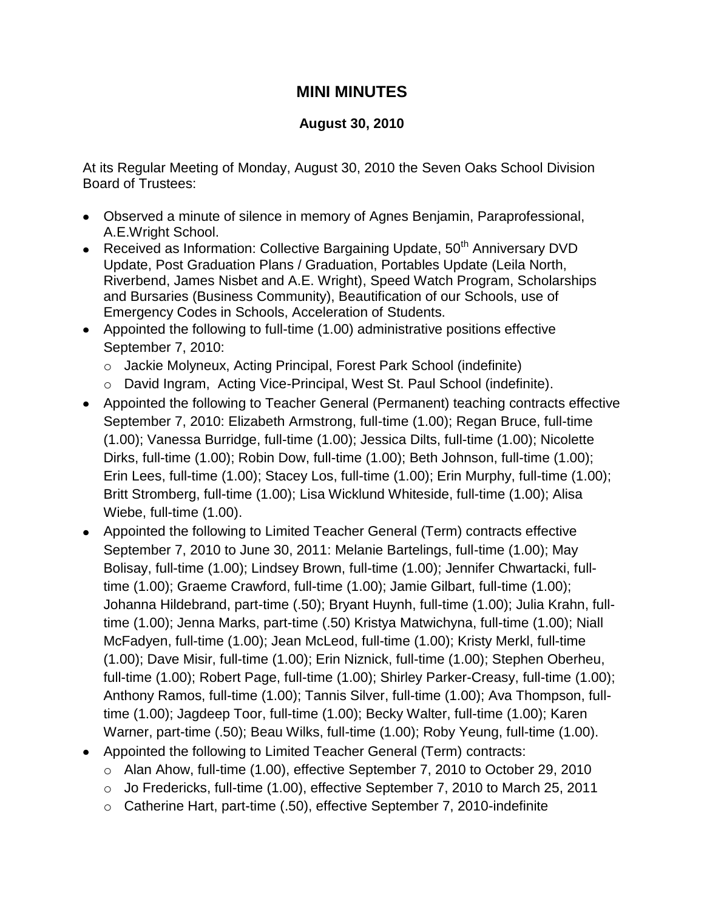## **MINI MINUTES**

## **August 30, 2010**

At its Regular Meeting of Monday, August 30, 2010 the Seven Oaks School Division Board of Trustees:

- Observed a minute of silence in memory of Agnes Benjamin, Paraprofessional, A.E.Wright School.
- Received as Information: Collective Bargaining Update,  $50<sup>th</sup>$  Anniversary DVD Update, Post Graduation Plans / Graduation, Portables Update (Leila North, Riverbend, James Nisbet and A.E. Wright), Speed Watch Program, Scholarships and Bursaries (Business Community), Beautification of our Schools, use of Emergency Codes in Schools, Acceleration of Students.
- Appointed the following to full-time (1.00) administrative positions effective September 7, 2010:
	- o Jackie Molyneux, Acting Principal, Forest Park School (indefinite)
	- o David Ingram, Acting Vice-Principal, West St. Paul School (indefinite).
- Appointed the following to Teacher General (Permanent) teaching contracts effective September 7, 2010: Elizabeth Armstrong, full-time (1.00); Regan Bruce, full-time (1.00); Vanessa Burridge, full-time (1.00); Jessica Dilts, full-time (1.00); Nicolette Dirks, full-time (1.00); Robin Dow, full-time (1.00); Beth Johnson, full-time (1.00); Erin Lees, full-time (1.00); Stacey Los, full-time (1.00); Erin Murphy, full-time (1.00); Britt Stromberg, full-time (1.00); Lisa Wicklund Whiteside, full-time (1.00); Alisa Wiebe, full-time (1.00).
- Appointed the following to Limited Teacher General (Term) contracts effective September 7, 2010 to June 30, 2011: Melanie Bartelings, full-time (1.00); May Bolisay, full-time (1.00); Lindsey Brown, full-time (1.00); Jennifer Chwartacki, fulltime (1.00); Graeme Crawford, full-time (1.00); Jamie Gilbart, full-time (1.00); Johanna Hildebrand, part-time (.50); Bryant Huynh, full-time (1.00); Julia Krahn, fulltime (1.00); Jenna Marks, part-time (.50) Kristya Matwichyna, full-time (1.00); Niall McFadyen, full-time (1.00); Jean McLeod, full-time (1.00); Kristy Merkl, full-time (1.00); Dave Misir, full-time (1.00); Erin Niznick, full-time (1.00); Stephen Oberheu, full-time (1.00); Robert Page, full-time (1.00); Shirley Parker-Creasy, full-time (1.00); Anthony Ramos, full-time (1.00); Tannis Silver, full-time (1.00); Ava Thompson, fulltime (1.00); Jagdeep Toor, full-time (1.00); Becky Walter, full-time (1.00); Karen Warner, part-time (.50); Beau Wilks, full-time (1.00); Roby Yeung, full-time (1.00).
- Appointed the following to Limited Teacher General (Term) contracts:
	- o Alan Ahow, full-time (1.00), effective September 7, 2010 to October 29, 2010
	- o Jo Fredericks, full-time (1.00), effective September 7, 2010 to March 25, 2011
	- o Catherine Hart, part-time (.50), effective September 7, 2010-indefinite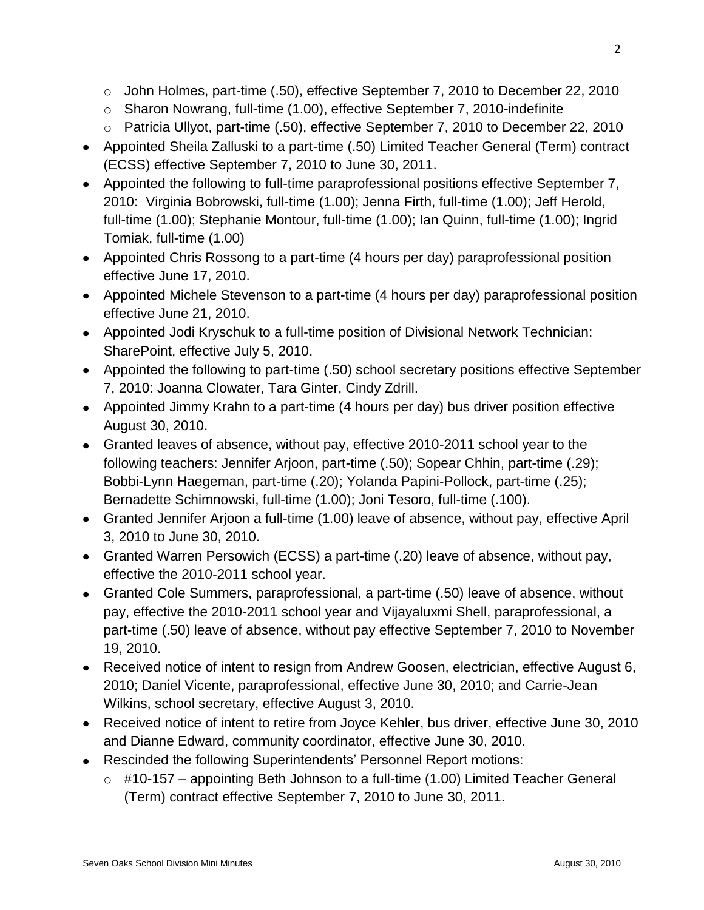- o John Holmes, part-time (.50), effective September 7, 2010 to December 22, 2010
- o Sharon Nowrang, full-time (1.00), effective September 7, 2010-indefinite
- o Patricia Ullyot, part-time (.50), effective September 7, 2010 to December 22, 2010
- Appointed Sheila Zalluski to a part-time (.50) Limited Teacher General (Term) contract (ECSS) effective September 7, 2010 to June 30, 2011.
- Appointed the following to full-time paraprofessional positions effective September 7, 2010: Virginia Bobrowski, full-time (1.00); Jenna Firth, full-time (1.00); Jeff Herold, full-time (1.00); Stephanie Montour, full-time (1.00); Ian Quinn, full-time (1.00); Ingrid Tomiak, full-time (1.00)
- Appointed Chris Rossong to a part-time (4 hours per day) paraprofessional position effective June 17, 2010.
- Appointed Michele Stevenson to a part-time (4 hours per day) paraprofessional position effective June 21, 2010.
- Appointed Jodi Kryschuk to a full-time position of Divisional Network Technician: SharePoint, effective July 5, 2010.
- Appointed the following to part-time (.50) school secretary positions effective September 7, 2010: Joanna Clowater, Tara Ginter, Cindy Zdrill.
- Appointed Jimmy Krahn to a part-time (4 hours per day) bus driver position effective August 30, 2010.
- Granted leaves of absence, without pay, effective 2010-2011 school year to the following teachers: Jennifer Arjoon, part-time (.50); Sopear Chhin, part-time (.29); Bobbi-Lynn Haegeman, part-time (.20); Yolanda Papini-Pollock, part-time (.25); Bernadette Schimnowski, full-time (1.00); Joni Tesoro, full-time (.100).
- Granted Jennifer Arjoon a full-time (1.00) leave of absence, without pay, effective April 3, 2010 to June 30, 2010.
- Granted Warren Persowich (ECSS) a part-time (.20) leave of absence, without pay, effective the 2010-2011 school year.
- Granted Cole Summers, paraprofessional, a part-time (.50) leave of absence, without pay, effective the 2010-2011 school year and Vijayaluxmi Shell, paraprofessional, a part-time (.50) leave of absence, without pay effective September 7, 2010 to November 19, 2010.
- Received notice of intent to resign from Andrew Goosen, electrician, effective August 6, 2010; Daniel Vicente, paraprofessional, effective June 30, 2010; and Carrie-Jean Wilkins, school secretary, effective August 3, 2010.
- Received notice of intent to retire from Joyce Kehler, bus driver, effective June 30, 2010 and Dianne Edward, community coordinator, effective June 30, 2010.
- Rescinded the following Superintendents' Personnel Report motions:
	- $\circ$  #10-157 appointing Beth Johnson to a full-time (1.00) Limited Teacher General (Term) contract effective September 7, 2010 to June 30, 2011.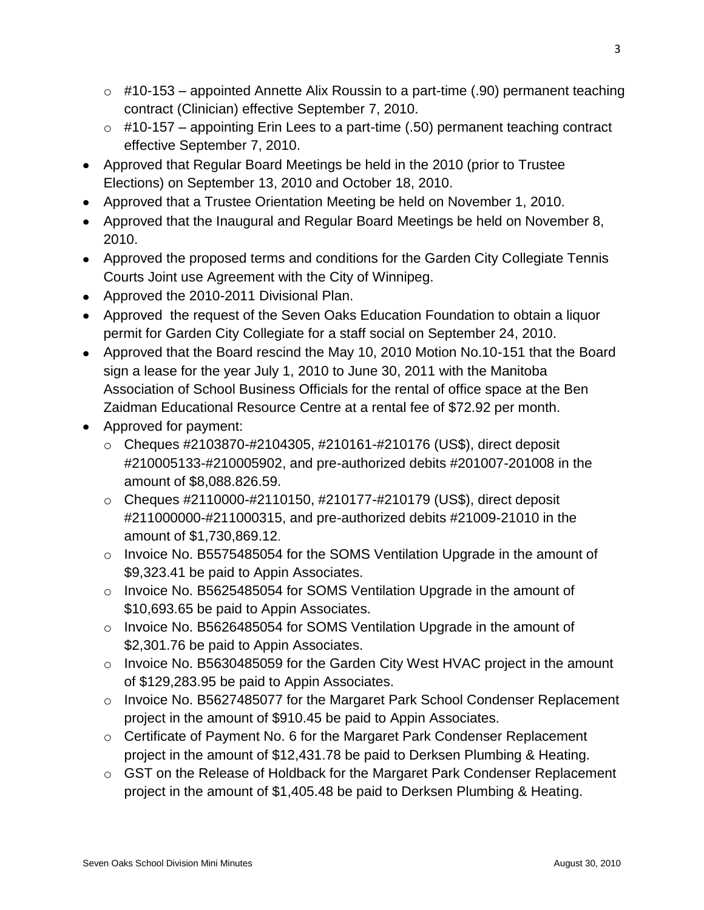- $\circ$  #10-153 appointed Annette Alix Roussin to a part-time (.90) permanent teaching contract (Clinician) effective September 7, 2010.
- $\circ$  #10-157 appointing Erin Lees to a part-time (.50) permanent teaching contract effective September 7, 2010.
- Approved that Regular Board Meetings be held in the 2010 (prior to Trustee Elections) on September 13, 2010 and October 18, 2010.
- Approved that a Trustee Orientation Meeting be held on November 1, 2010.
- Approved that the Inaugural and Regular Board Meetings be held on November 8, 2010.
- Approved the proposed terms and conditions for the Garden City Collegiate Tennis Courts Joint use Agreement with the City of Winnipeg.
- Approved the 2010-2011 Divisional Plan.
- Approved the request of the Seven Oaks Education Foundation to obtain a liquor permit for Garden City Collegiate for a staff social on September 24, 2010.
- Approved that the Board rescind the May 10, 2010 Motion No.10-151 that the Board sign a lease for the year July 1, 2010 to June 30, 2011 with the Manitoba Association of School Business Officials for the rental of office space at the Ben Zaidman Educational Resource Centre at a rental fee of \$72.92 per month.
- Approved for payment:
	- o Cheques #2103870-#2104305, #210161-#210176 (US\$), direct deposit #210005133-#210005902, and pre-authorized debits #201007-201008 in the amount of \$8,088.826.59.
	- o Cheques #2110000-#2110150, #210177-#210179 (US\$), direct deposit #211000000-#211000315, and pre-authorized debits #21009-21010 in the amount of \$1,730,869.12.
	- o Invoice No. B5575485054 for the SOMS Ventilation Upgrade in the amount of \$9,323.41 be paid to Appin Associates.
	- $\circ$  Invoice No. B5625485054 for SOMS Ventilation Upgrade in the amount of \$10,693.65 be paid to Appin Associates.
	- o Invoice No. B5626485054 for SOMS Ventilation Upgrade in the amount of \$2,301.76 be paid to Appin Associates.
	- o Invoice No. B5630485059 for the Garden City West HVAC project in the amount of \$129,283.95 be paid to Appin Associates.
	- o Invoice No. B5627485077 for the Margaret Park School Condenser Replacement project in the amount of \$910.45 be paid to Appin Associates.
	- o Certificate of Payment No. 6 for the Margaret Park Condenser Replacement project in the amount of \$12,431.78 be paid to Derksen Plumbing & Heating.
	- $\circ$  GST on the Release of Holdback for the Margaret Park Condenser Replacement project in the amount of \$1,405.48 be paid to Derksen Plumbing & Heating.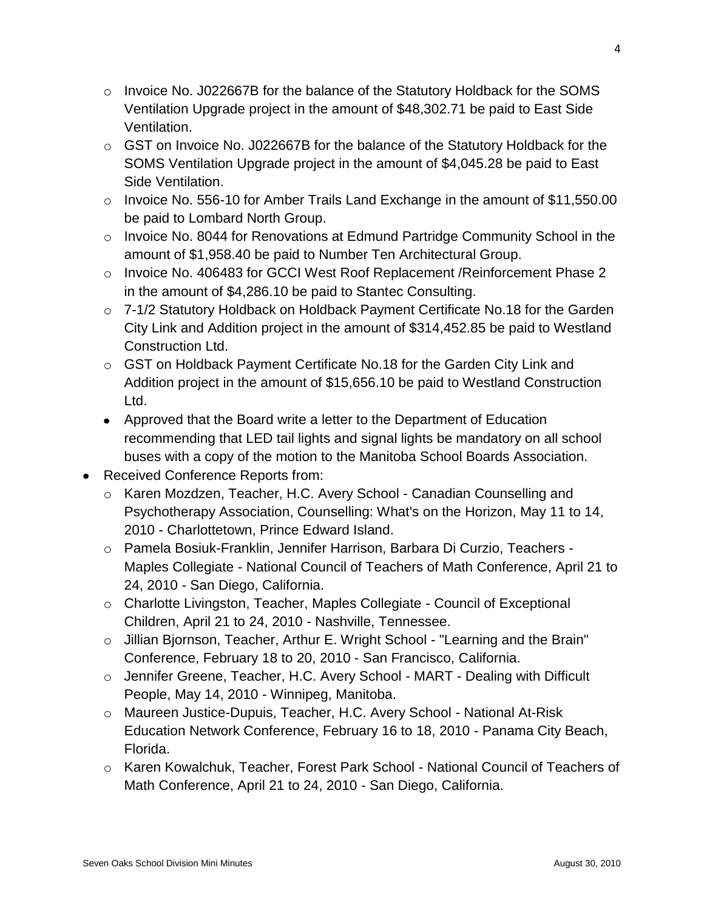- $\circ$  Invoice No. J022667B for the balance of the Statutory Holdback for the SOMS Ventilation Upgrade project in the amount of \$48,302.71 be paid to East Side Ventilation.
- o GST on Invoice No. J022667B for the balance of the Statutory Holdback for the SOMS Ventilation Upgrade project in the amount of \$4,045.28 be paid to East Side Ventilation.
- o Invoice No. 556-10 for Amber Trails Land Exchange in the amount of \$11,550.00 be paid to Lombard North Group.
- o Invoice No. 8044 for Renovations at Edmund Partridge Community School in the amount of \$1,958.40 be paid to Number Ten Architectural Group.
- o Invoice No. 406483 for GCCI West Roof Replacement /Reinforcement Phase 2 in the amount of \$4,286.10 be paid to Stantec Consulting.
- o 7-1/2 Statutory Holdback on Holdback Payment Certificate No.18 for the Garden City Link and Addition project in the amount of \$314,452.85 be paid to Westland Construction Ltd.
- o GST on Holdback Payment Certificate No.18 for the Garden City Link and Addition project in the amount of \$15,656.10 be paid to Westland Construction Ltd.
- Approved that the Board write a letter to the Department of Education recommending that LED tail lights and signal lights be mandatory on all school buses with a copy of the motion to the Manitoba School Boards Association.
- Received Conference Reports from:
	- o Karen Mozdzen, Teacher, H.C. Avery School Canadian Counselling and Psychotherapy Association, Counselling: What's on the Horizon, May 11 to 14, 2010 - Charlottetown, Prince Edward Island.
	- o Pamela Bosiuk-Franklin, Jennifer Harrison, Barbara Di Curzio, Teachers Maples Collegiate - National Council of Teachers of Math Conference, April 21 to 24, 2010 - San Diego, California.
	- o Charlotte Livingston, Teacher, Maples Collegiate Council of Exceptional Children, April 21 to 24, 2010 - Nashville, Tennessee.
	- o Jillian Bjornson, Teacher, Arthur E. Wright School "Learning and the Brain" Conference, February 18 to 20, 2010 - San Francisco, California.
	- o Jennifer Greene, Teacher, H.C. Avery School MART Dealing with Difficult People, May 14, 2010 - Winnipeg, Manitoba.
	- o Maureen Justice-Dupuis, Teacher, H.C. Avery School National At-Risk Education Network Conference, February 16 to 18, 2010 - Panama City Beach, Florida.
	- o Karen Kowalchuk, Teacher, Forest Park School National Council of Teachers of Math Conference, April 21 to 24, 2010 - San Diego, California.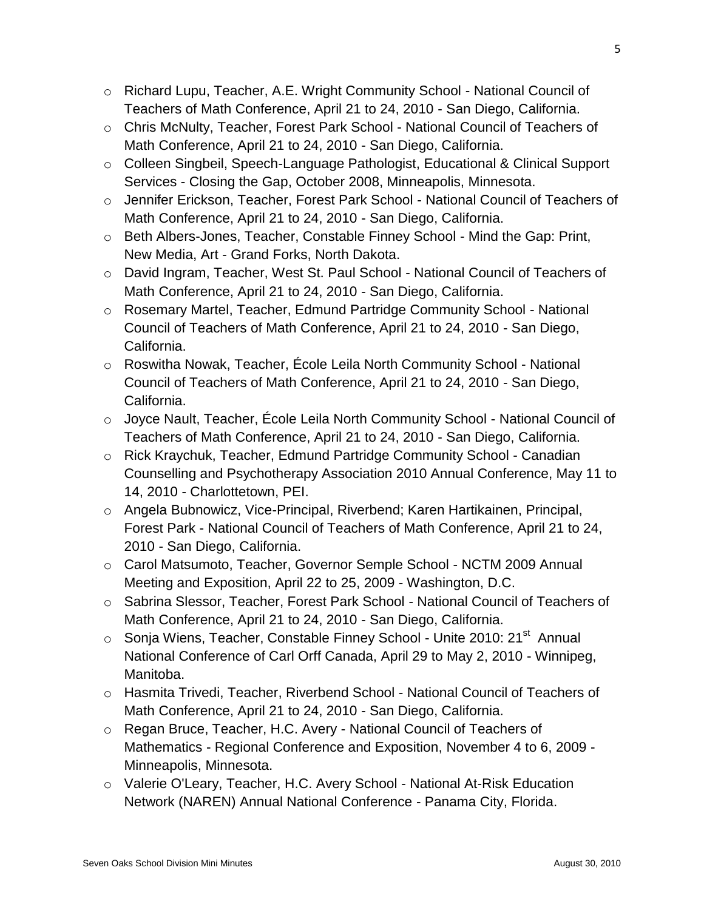- o Richard Lupu, Teacher, A.E. Wright Community School National Council of Teachers of Math Conference, April 21 to 24, 2010 - San Diego, California.
- o Chris McNulty, Teacher, Forest Park School National Council of Teachers of Math Conference, April 21 to 24, 2010 - San Diego, California.
- o Colleen Singbeil, Speech-Language Pathologist, Educational & Clinical Support Services - Closing the Gap, October 2008, Minneapolis, Minnesota.
- o Jennifer Erickson, Teacher, Forest Park School National Council of Teachers of Math Conference, April 21 to 24, 2010 - San Diego, California.
- o Beth Albers-Jones, Teacher, Constable Finney School Mind the Gap: Print, New Media, Art - Grand Forks, North Dakota.
- o David Ingram, Teacher, West St. Paul School National Council of Teachers of Math Conference, April 21 to 24, 2010 - San Diego, California.
- o Rosemary Martel, Teacher, Edmund Partridge Community School National Council of Teachers of Math Conference, April 21 to 24, 2010 - San Diego, California.
- o Roswitha Nowak, Teacher, École Leila North Community School National Council of Teachers of Math Conference, April 21 to 24, 2010 - San Diego, California.
- o Joyce Nault, Teacher, École Leila North Community School National Council of Teachers of Math Conference, April 21 to 24, 2010 - San Diego, California.
- o Rick Kraychuk, Teacher, Edmund Partridge Community School Canadian Counselling and Psychotherapy Association 2010 Annual Conference, May 11 to 14, 2010 - Charlottetown, PEI.
- o Angela Bubnowicz, Vice-Principal, Riverbend; Karen Hartikainen, Principal, Forest Park - National Council of Teachers of Math Conference, April 21 to 24, 2010 - San Diego, California.
- o Carol Matsumoto, Teacher, Governor Semple School NCTM 2009 Annual Meeting and Exposition, April 22 to 25, 2009 - Washington, D.C.
- o Sabrina Slessor, Teacher, Forest Park School National Council of Teachers of Math Conference, April 21 to 24, 2010 - San Diego, California.
- o Sonja Wiens, Teacher, Constable Finney School Unite 2010: 21<sup>st</sup> Annual National Conference of Carl Orff Canada, April 29 to May 2, 2010 - Winnipeg, Manitoba.
- o Hasmita Trivedi, Teacher, Riverbend School National Council of Teachers of Math Conference, April 21 to 24, 2010 - San Diego, California.
- o Regan Bruce, Teacher, H.C. Avery National Council of Teachers of Mathematics - Regional Conference and Exposition, November 4 to 6, 2009 - Minneapolis, Minnesota.
- o Valerie O'Leary, Teacher, H.C. Avery School National At-Risk Education Network (NAREN) Annual National Conference - Panama City, Florida.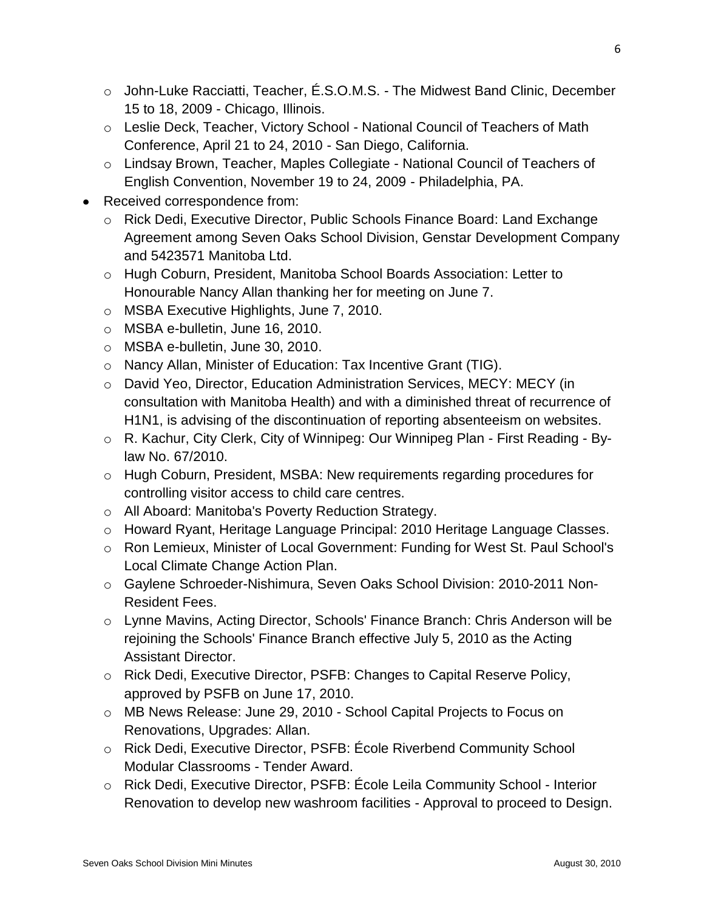- o John-Luke Racciatti, Teacher, É.S.O.M.S. The Midwest Band Clinic, December 15 to 18, 2009 - Chicago, Illinois.
- o Leslie Deck, Teacher, Victory School National Council of Teachers of Math Conference, April 21 to 24, 2010 - San Diego, California.
- o Lindsay Brown, Teacher, Maples Collegiate National Council of Teachers of English Convention, November 19 to 24, 2009 - Philadelphia, PA.
- Received correspondence from:
	- o Rick Dedi, Executive Director, Public Schools Finance Board: Land Exchange Agreement among Seven Oaks School Division, Genstar Development Company and 5423571 Manitoba Ltd.
	- o Hugh Coburn, President, Manitoba School Boards Association: Letter to Honourable Nancy Allan thanking her for meeting on June 7.
	- o MSBA Executive Highlights, June 7, 2010.
	- o MSBA e-bulletin, June 16, 2010.
	- o MSBA e-bulletin, June 30, 2010.
	- o Nancy Allan, Minister of Education: Tax Incentive Grant (TIG).
	- o David Yeo, Director, Education Administration Services, MECY: MECY (in consultation with Manitoba Health) and with a diminished threat of recurrence of H1N1, is advising of the discontinuation of reporting absenteeism on websites.
	- o R. Kachur, City Clerk, City of Winnipeg: Our Winnipeg Plan First Reading Bylaw No. 67/2010.
	- o Hugh Coburn, President, MSBA: New requirements regarding procedures for controlling visitor access to child care centres.
	- o All Aboard: Manitoba's Poverty Reduction Strategy.
	- o Howard Ryant, Heritage Language Principal: 2010 Heritage Language Classes.
	- o Ron Lemieux, Minister of Local Government: Funding for West St. Paul School's Local Climate Change Action Plan.
	- o Gaylene Schroeder-Nishimura, Seven Oaks School Division: 2010-2011 Non-Resident Fees.
	- o Lynne Mavins, Acting Director, Schools' Finance Branch: Chris Anderson will be rejoining the Schools' Finance Branch effective July 5, 2010 as the Acting Assistant Director.
	- o Rick Dedi, Executive Director, PSFB: Changes to Capital Reserve Policy, approved by PSFB on June 17, 2010.
	- o MB News Release: June 29, 2010 School Capital Projects to Focus on Renovations, Upgrades: Allan.
	- o Rick Dedi, Executive Director, PSFB: École Riverbend Community School Modular Classrooms - Tender Award.
	- o Rick Dedi, Executive Director, PSFB: École Leila Community School Interior Renovation to develop new washroom facilities - Approval to proceed to Design.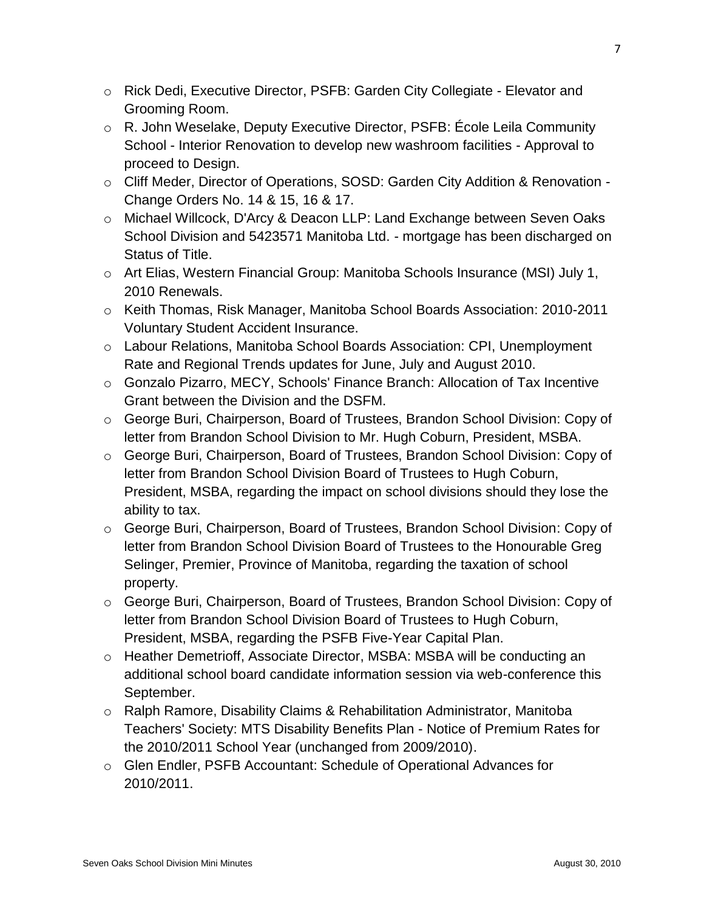- o Rick Dedi, Executive Director, PSFB: Garden City Collegiate Elevator and Grooming Room.
- o R. John Weselake, Deputy Executive Director, PSFB: École Leila Community School - Interior Renovation to develop new washroom facilities - Approval to proceed to Design.
- o Cliff Meder, Director of Operations, SOSD: Garden City Addition & Renovation Change Orders No. 14 & 15, 16 & 17.
- o Michael Willcock, D'Arcy & Deacon LLP: Land Exchange between Seven Oaks School Division and 5423571 Manitoba Ltd. - mortgage has been discharged on Status of Title.
- o Art Elias, Western Financial Group: Manitoba Schools Insurance (MSI) July 1, 2010 Renewals.
- o Keith Thomas, Risk Manager, Manitoba School Boards Association: 2010-2011 Voluntary Student Accident Insurance.
- o Labour Relations, Manitoba School Boards Association: CPI, Unemployment Rate and Regional Trends updates for June, July and August 2010.
- $\circ$  Gonzalo Pizarro, MECY, Schools' Finance Branch: Allocation of Tax Incentive Grant between the Division and the DSFM.
- o George Buri, Chairperson, Board of Trustees, Brandon School Division: Copy of letter from Brandon School Division to Mr. Hugh Coburn, President, MSBA.
- o George Buri, Chairperson, Board of Trustees, Brandon School Division: Copy of letter from Brandon School Division Board of Trustees to Hugh Coburn, President, MSBA, regarding the impact on school divisions should they lose the ability to tax.
- o George Buri, Chairperson, Board of Trustees, Brandon School Division: Copy of letter from Brandon School Division Board of Trustees to the Honourable Greg Selinger, Premier, Province of Manitoba, regarding the taxation of school property.
- o George Buri, Chairperson, Board of Trustees, Brandon School Division: Copy of letter from Brandon School Division Board of Trustees to Hugh Coburn, President, MSBA, regarding the PSFB Five-Year Capital Plan.
- o Heather Demetrioff, Associate Director, MSBA: MSBA will be conducting an additional school board candidate information session via web-conference this September.
- o Ralph Ramore, Disability Claims & Rehabilitation Administrator, Manitoba Teachers' Society: MTS Disability Benefits Plan - Notice of Premium Rates for the 2010/2011 School Year (unchanged from 2009/2010).
- o Glen Endler, PSFB Accountant: Schedule of Operational Advances for 2010/2011.